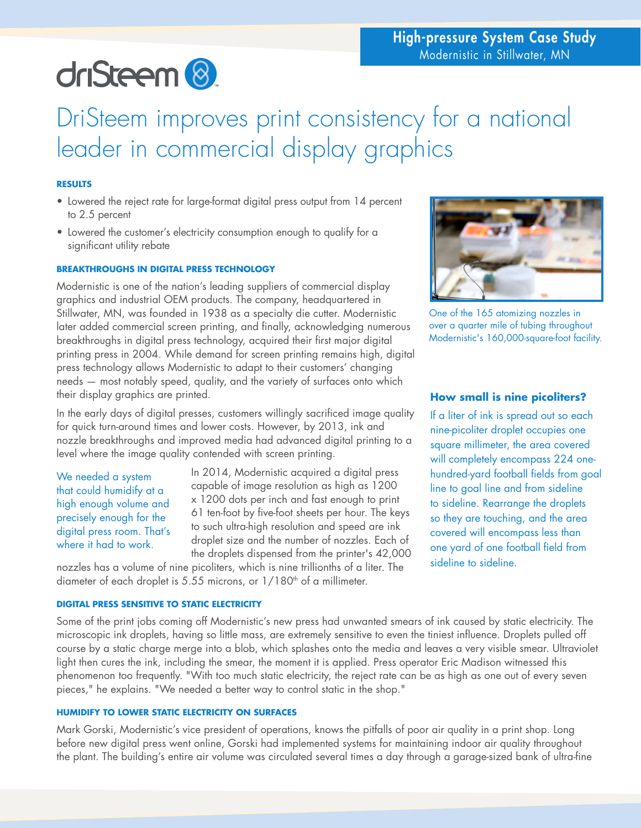# driSteem<sup>8</sup>

# DriSteem improves print consistency for a national leader in commercial display graphics

# **RESULTS**

- Lowered the reject rate for large-format digital press output from 14 percent to 2.5 percent
- Lowered the customer's electricity consumption enough to qualify for a significant utility rebate

# **BREAKTHROUGHS IN DIGITAL PRESS TECHNOLOGY**

Modernistic is one of the nation's leading suppliers of commercial display graphics and industrial OEM products. The company, headquartered in Stillwater, MN, was founded in 1938 as a specialty die cutter. Modernistic later added commercial screen printing, and finally, acknowledging numerous breakthroughs in digital press technology, acquired their first major digital printing press in 2004. While demand for screen printing remains high, digital press technology allows Modernistic to adapt to their customers' changing needs — most notably speed, quality, and the variety of surfaces onto which their display graphics are printed.

In the early days of digital presses, customers willingly sacrificed image quality for quick turn-around times and lower costs. However, by 2013, ink and nozzle breakthroughs and improved media had advanced digital printing to a level where the image quality contended with screen printing.

We needed a system that could humidify at a high enough volume and precisely enough for the digital press room. That's where it had to work.

In 2014, Modernistic acquired a digital press capable of image resolution as high as 1200 x 1200 dots per inch and fast enough to print 61 ten-foot by five-foot sheets per hour. The keys to such ultra-high resolution and speed are ink droplet size and the number of nozzles. Each of the droplets dispensed from the printer's 42,000

nozzles has a volume of nine picoliters, which is nine trillionths of a liter. The diameter of each droplet is 5.55 microns, or  $1/180<sup>th</sup>$  of a millimeter.

# **DIGITAL PRESS SENSITIVE TO STATIC ELECTRICITY**

Some of the print jobs coming off Modernistic's new press had unwanted smears of ink caused by static electricity. The microscopic ink droplets, having so little mass, are extremely sensitive to even the tiniest influence. Droplets pulled off course by a static charge merge into a blob, which splashes onto the media and leaves a very visible smear. Ultraviolet light then cures the ink, including the smear, the moment it is applied. Press operator Eric Madison witnessed this phenomenon too frequently. "With too much static electricity, the reject rate can be as high as one out of every seven pieces," he explains. "We needed a better way to control static in the shop."

# **HUMIDIFY TO LOWER STATIC ELECTRICITY ON SURFACES**

Mark Gorski, Modernistic's vice president of operations, knows the pitfalls of poor air quality in a print shop. Long before new digital press went online, Gorski had implemented systems for maintaining indoor air quality throughout the plant. The building's entire air volume was circulated several times a day through a garage-sized bank of ultra-fine



One of the 165 atomizing nozzles in over a quarter mile of tubing throughout Modernistic's 160,000-square-foot facility.

# **How small is nine picoliters?**

If a liter of ink is spread out so each nine-picoliter droplet occupies one square millimeter, the area covered will completely encompass 224 onehundred-yard football fields from goal line to goal line and from sideline to sideline. Rearrange the droplets so they are touching, and the area covered will encompass less than one yard of one football field from sideline to sideline.